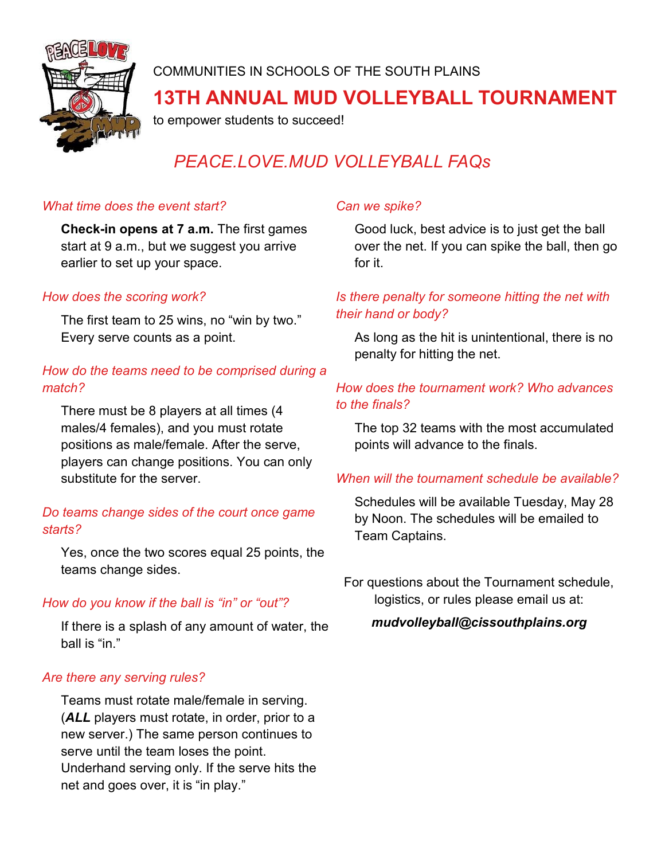

COMMUNITIES IN SCHOOLS OF THE SOUTH PLAINS

## **13TH ANNUAL MUD VOLLEYBALL TOURNAMENT**

to empower students to succeed!

# *PEACE.LOVE.MUD VOLLEYBALL FAQs*

#### *What time does the event start?*

**Check-in opens at 7 a.m.** The first games start at 9 a.m., but we suggest you arrive earlier to set up your space.

#### *How does the scoring work?*

The first team to 25 wins, no "win by two." Every serve counts as a point.

### *How do the teams need to be comprised during a match?*

There must be 8 players at all times (4 males/4 females), and you must rotate positions as male/female. After the serve, players can change positions. You can only substitute for the server.

#### *Do teams change sides of the court once game starts?*

Yes, once the two scores equal 25 points, the teams change sides.

#### *How do you know if the ball is "in" or "out"?*

If there is a splash of any amount of water, the ball is "in."

#### *Are there any serving rules?*

Teams must rotate male/female in serving. (*ALL* players must rotate, in order, prior to a new server.) The same person continues to serve until the team loses the point. Underhand serving only. If the serve hits the net and goes over, it is "in play."

## *Can we spike?*

Good luck, best advice is to just get the ball over the net. If you can spike the ball, then go for it.

### *Is there penalty for someone hitting the net with their hand or body?*

As long as the hit is unintentional, there is no penalty for hitting the net.

### *How does the tournament work? Who advances to the finals?*

The top 32 teams with the most accumulated points will advance to the finals.

#### *When will the tournament schedule be available?*

Schedules will be available Tuesday, May 28 by Noon. The schedules will be emailed to Team Captains.

For questions about the Tournament schedule, logistics, or rules please email us at:

*mudvolleyball@cissouthplains.org*